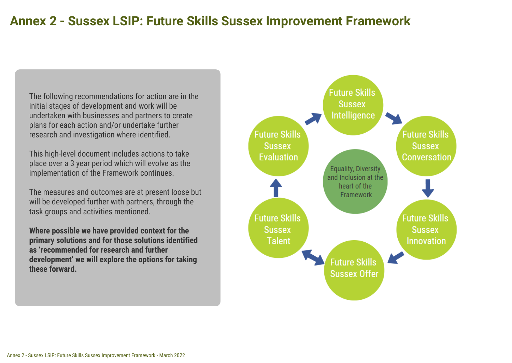# **Annex 2 - Sussex LSIP: Future Skills Sussex Improvement Framework**

The following recommendations for action are in the initial stages of development and work will be undertaken with businesses and partners to create plans for each action and/or undertake further research and investigation where identified.

This high-level document includes actions to take place over a 3 year period which will evolve as the implementation of the Framework continues.

The measures and outcomes are at present loose but will be developed further with partners, through the task groups and activities mentioned.

**Where possible we have provided context for the primary solutions and for those solutions identified as 'recommended for research and further development' we will explore the options for taking these forward.**

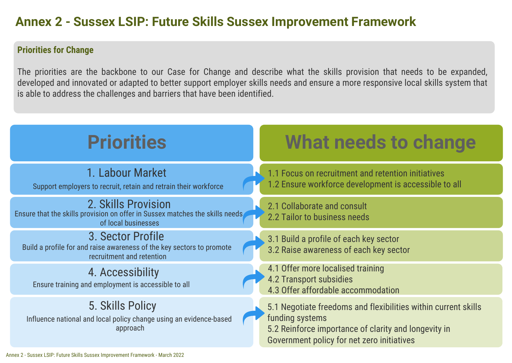# **Annex 2 - Sussex LSIP: Future Skills Sussex Improvement Framework**

### **Priorities for Change**

The priorities are the backbone to our Case for Change and describe what the skills provision that needs to be expanded, developed and innovated or adapted to better support employer skills needs and ensure a more responsive local skills system that is able to address the challenges and barriers that have been identified.

| <b>Priorities</b>                                                                                                          | <b>What needs to change</b>                                                                                                                                                             |  |
|----------------------------------------------------------------------------------------------------------------------------|-----------------------------------------------------------------------------------------------------------------------------------------------------------------------------------------|--|
| 1. Labour Market<br>Support employers to recruit, retain and retrain their workforce                                       | 1.1 Focus on recruitment and retention initiatives<br>1.2 Ensure workforce development is accessible to all                                                                             |  |
| 2. Skills Provision<br>Ensure that the skills provision on offer in Sussex matches the skills needs<br>of local businesses | 2.1 Collaborate and consult<br>2.2 Tailor to business needs                                                                                                                             |  |
| 3. Sector Profile<br>Build a profile for and raise awareness of the key sectors to promote<br>recruitment and retention    | 3.1 Build a profile of each key sector<br>3.2 Raise awareness of each key sector                                                                                                        |  |
| 4. Accessibility<br>Ensure training and employment is accessible to all                                                    | 4.1 Offer more localised training<br><b>4.2 Transport subsidies</b><br>4.3 Offer affordable accommodation                                                                               |  |
| 5. Skills Policy<br>Influence national and local policy change using an evidence-based<br>approach                         | 5.1 Negotiate freedoms and flexibilities within current skills<br>funding systems<br>5.2 Reinforce importance of clarity and longevity in<br>Government policy for net zero initiatives |  |
| Innex 2 - Sussex LSIP: Future Skills Sussex Improvement Framework - March 2022                                             |                                                                                                                                                                                         |  |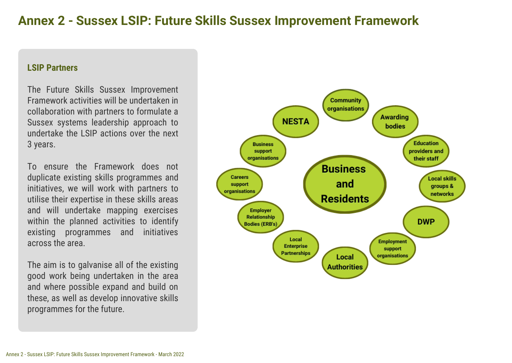# **Annex 2 - Sussex LSIP: Future Skills Sussex Improvement Framework**

#### **LSIP Partners**

The Future Skills Sussex Improvement Framework activities will be undertaken in collaboration with partners to formulate a Sussex systems leadership approach to undertake the LSIP actions over the next 3 years.

To ensure the Framework does not duplicate existing skills programmes and initiatives, we will work with partners to utilise their expertise in these skills areas and will undertake mapping exercises within the planned activities to identify existing programmes and initiatives across the area.

The aim is to galvanise all of the existing good work being undertaken in the area and where possible expand and build on these, as well as develop innovative skills programmes for the future.

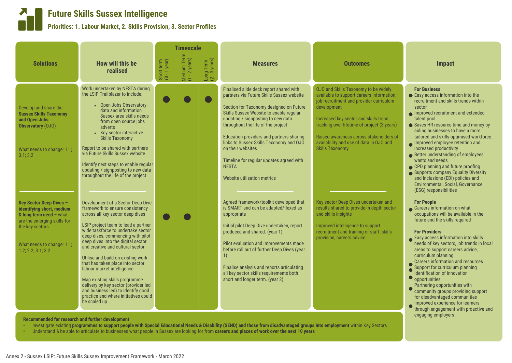### **Future Skills Sussex Intelligence**

#### **Priorities: 1. Labour Market, 2. Skills Provision, 3. Sector Profiles**

|                                                                                                                                                                                               |                                                                                                                                                                                                                                                                                                                                                                                                                                                                                                                                                                                     |                            | <b>Timescale</b>             |                                      |                                                                                                                                                                                                                                                                                                                                                                                                                                                                      |                                                                                                                                                                                                                                                                                                                                                            |                                                                                                                                                                                                                                                                                                                                                                                                                                                                                                                                                                                                                           |
|-----------------------------------------------------------------------------------------------------------------------------------------------------------------------------------------------|-------------------------------------------------------------------------------------------------------------------------------------------------------------------------------------------------------------------------------------------------------------------------------------------------------------------------------------------------------------------------------------------------------------------------------------------------------------------------------------------------------------------------------------------------------------------------------------|----------------------------|------------------------------|--------------------------------------|----------------------------------------------------------------------------------------------------------------------------------------------------------------------------------------------------------------------------------------------------------------------------------------------------------------------------------------------------------------------------------------------------------------------------------------------------------------------|------------------------------------------------------------------------------------------------------------------------------------------------------------------------------------------------------------------------------------------------------------------------------------------------------------------------------------------------------------|---------------------------------------------------------------------------------------------------------------------------------------------------------------------------------------------------------------------------------------------------------------------------------------------------------------------------------------------------------------------------------------------------------------------------------------------------------------------------------------------------------------------------------------------------------------------------------------------------------------------------|
| <b>Solutions</b>                                                                                                                                                                              | <b>How will this be</b><br>realised                                                                                                                                                                                                                                                                                                                                                                                                                                                                                                                                                 | Short term<br>(0 - 1 year) | Medium Term<br>(1 - 2 years) | Long Term<br>$(2 - 3 \text{ years})$ | <b>Measures</b>                                                                                                                                                                                                                                                                                                                                                                                                                                                      | <b>Outcomes</b>                                                                                                                                                                                                                                                                                                                                            | <b>Impact</b>                                                                                                                                                                                                                                                                                                                                                                                                                                                                                                                                                                                                             |
| Develop and share the<br><b>Sussex Skills Taxonomy</b><br>and Open Jobs<br>Observatory (OJO)<br>What needs to change: 1.1;<br>3.1; 3.2                                                        | Work undertaken by NESTA during<br>the LSIP Trailblazer to include:<br>• Open Jobs Observatory -<br>data and information<br>Sussex area skills needs<br>from open source jobs<br>adverts<br>• Key sector interactive<br><b>Skills Taxonomy</b><br>Report to be shared with partners<br>via Future Skills Sussex website.<br>Identify next steps to enable regular<br>updating / signposting to new data<br>throughout the life of the project                                                                                                                                       |                            |                              |                                      | Finalised slide deck report shared with<br>partners via Future Skills Sussex website<br>Section for Taxonomy designed on Future<br>Skills Sussex Website to enable regular<br>updating / signposting to new data<br>throughout the life of the project<br>Education providers and partners sharing<br>links to Sussex Skills Taxonomy and OJO<br>on their websites<br>Timeline for regular updates agreed with<br><b>NESTA</b><br><b>Website utilisation metrics</b> | <b>OJO and Skills Taxonomy to be widely</b><br>available to support careers information,<br>job recruitment and provider curriculum<br>development<br>Increased key sector and skills trend<br>tracking over lifetime of project (3 years)<br>Raised awareness across stakeholders of<br>availability and use of data in OJO and<br><b>Skills Taxonomy</b> | <b>For Business</b><br>● Easy access information into the<br>recruitment and skills trends within<br>sector<br>Improved recruitment and extended<br>talent pool<br>Saves HR resource time and money by<br>aiding businesses to have a more<br>tailored and skills optimised workforce.<br>Improved employee retention and<br>increased productivity<br>Better understanding of employees<br>wants and needs<br>• CPD planning and future proofing<br>Supports company Equality Diversity<br>and Inclusions (EDI) policies and<br><b>Environmental, Social, Governance</b><br>(ESG) responsibilities                       |
| <b>Key Sector Deep Dives -</b><br>identifying short, medium<br>& long term need - what<br>are the emerging skills for<br>the key sectors.<br>What needs to change: 1.1;<br>1.2; 2.2; 3.1; 3.2 | Development of a Sector Deep Dive<br>framework to ensure consistency<br>across all key sector deep dives<br>LSIP project team to lead a partner<br>wide taskforce to undertake sector<br>deep dives, commencing with pilot<br>deep dives into the digital sector<br>and creative and cultural sector<br>Utilise and build on existing work<br>that has taken place into sector<br>labour market intelligence<br>Map existing skills programme<br>delivery by key sector (provider led<br>and business led) to identify good<br>practice and where initiatives could<br>be scaled up |                            |                              |                                      | Agreed framework/toolkit developed that<br>is SMART and can be adapted/flexed as<br>appropriate<br>Initial pilot Deep Dive undertaken, report<br>produced and shared. (year 1)<br>Pilot evaluation and improvements made<br>before roll out of further Deep Dives (year<br>1)<br>Finalise analysis and reports articulating<br>all key sector skills requirements both<br>short and longer term. (year 2)                                                            | Key sector Deep Dives undertaken and<br>results shared to provide in-depth sector<br>and skills insights<br>Improved intelligence to support<br>recruitment and training of staff, skills<br>provision, careers advice                                                                                                                                     | <b>For People</b><br>Careers information on what<br>occupations will be available in the<br>future and the skills required<br><b>For Providers</b><br>Easy access information into skills<br>needs of key sectors, job trends in local<br>areas to support careers advice,<br>curriculum planning<br>Careers information and resources<br>Support for curriculum planning<br>Identification of innovation<br>$\bullet$ opportunities<br>Partnering opportunities with<br>community groups providing support<br>for disadvantaged communities<br>Improved experience for learners<br>through engagement with proactive and |

**Recommended for research and further development**

- Investigate existing **programmes to support people with Special Educational Needs & Disability (SEND) and those from disadvantaged groups into employment** within Key Sectors
- Understand & be able to articulate to businesses what people in Sussex are looking for from **careers and places of work over the next 10 years**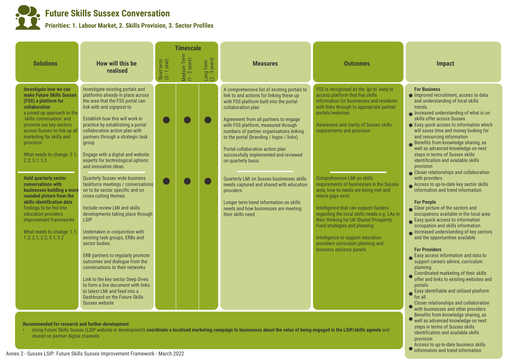### **Future Skills Sussex Conversation Priorities: 1. Labour Market, 2. Skills Provision, 3. Sector Profiles**

|                                                                                                                                                                                                                                                                                                                                                                                                                                                                                                                                                                                                       |                                                                                                                                                                                                                                                                                                                                                                                                                                                                                                                                                                                                                                                                                                                                                                                                                                                                                                                                                                                                   |                            | <b>Timescale</b>             |                                      |                                                                                                                                                                                                                                                                                                                                                                                                                                                                                                                                                                                                                                                   |                                                                                                                                                                                                                                                                                                                                                                                                                                                                                                                                                                                                                                                                                          |                                                                                                                                                                                                                                                                                                                                                                                                                                                                                                                                                                                                                                                                                                                                                                                                                                                                                                                                                                                                                                                                                                                                                                                                                                                                 |
|-------------------------------------------------------------------------------------------------------------------------------------------------------------------------------------------------------------------------------------------------------------------------------------------------------------------------------------------------------------------------------------------------------------------------------------------------------------------------------------------------------------------------------------------------------------------------------------------------------|---------------------------------------------------------------------------------------------------------------------------------------------------------------------------------------------------------------------------------------------------------------------------------------------------------------------------------------------------------------------------------------------------------------------------------------------------------------------------------------------------------------------------------------------------------------------------------------------------------------------------------------------------------------------------------------------------------------------------------------------------------------------------------------------------------------------------------------------------------------------------------------------------------------------------------------------------------------------------------------------------|----------------------------|------------------------------|--------------------------------------|---------------------------------------------------------------------------------------------------------------------------------------------------------------------------------------------------------------------------------------------------------------------------------------------------------------------------------------------------------------------------------------------------------------------------------------------------------------------------------------------------------------------------------------------------------------------------------------------------------------------------------------------------|------------------------------------------------------------------------------------------------------------------------------------------------------------------------------------------------------------------------------------------------------------------------------------------------------------------------------------------------------------------------------------------------------------------------------------------------------------------------------------------------------------------------------------------------------------------------------------------------------------------------------------------------------------------------------------------|-----------------------------------------------------------------------------------------------------------------------------------------------------------------------------------------------------------------------------------------------------------------------------------------------------------------------------------------------------------------------------------------------------------------------------------------------------------------------------------------------------------------------------------------------------------------------------------------------------------------------------------------------------------------------------------------------------------------------------------------------------------------------------------------------------------------------------------------------------------------------------------------------------------------------------------------------------------------------------------------------------------------------------------------------------------------------------------------------------------------------------------------------------------------------------------------------------------------------------------------------------------------|
| <b>Solutions</b>                                                                                                                                                                                                                                                                                                                                                                                                                                                                                                                                                                                      | <b>How will this be</b><br>realised                                                                                                                                                                                                                                                                                                                                                                                                                                                                                                                                                                                                                                                                                                                                                                                                                                                                                                                                                               | Short term<br>(0 - 1 year) | Medium Term<br>(1 - 2 years) | Long Term<br>$(2 - 3 \text{ years})$ | <b>Measures</b>                                                                                                                                                                                                                                                                                                                                                                                                                                                                                                                                                                                                                                   | <b>Outcomes</b>                                                                                                                                                                                                                                                                                                                                                                                                                                                                                                                                                                                                                                                                          | Impact                                                                                                                                                                                                                                                                                                                                                                                                                                                                                                                                                                                                                                                                                                                                                                                                                                                                                                                                                                                                                                                                                                                                                                                                                                                          |
| <b>Investigate how we can</b><br>make Future Skills Sussex<br>(FSS) a platform for<br>collaboration<br>a joined up approach to the<br>'skills conversation' and<br>promote our key sectors<br>across Sussex to link up all<br>marketing for skills and<br>provision<br>What needs to change: 2.1;<br>2.2; 3.1; 3.2<br><b>Hold quarterly sector</b><br>conversations with<br>businesses building a more<br>rounded picture from the<br>skills identification data<br>findings to be fed into<br>education providers<br>improvement frameworks<br>What needs to change: 1.1;<br>1.2; 2.1; 2.2; 3.1; 3.2 | Investigate existing portals and<br>platforms already in place across<br>the area that the FSS portal can<br>link with and signpost to<br>Establish how this will work in<br>practice by establishing a portal<br>collaboration action plan with<br>partners through a strategic task<br>group<br>Engage with a digital and website<br>experts for technological options<br>and innovative ideas.<br><b>Quarterly Sussex wide business</b><br>taskforce meetings / conversations<br>on to be sector specific and on<br>cross-cutting themes.<br>Include review LMI and skills<br>developments taking place through<br><b>LSIP</b><br>Undertaken in conjunction with<br>existing task groups, ERBs and<br>sector bodies.<br>ERB partners to regularly promote<br>outcomes and dialogue from the<br>conversations to their networks<br>Link to the key sector Deep Dives<br>to form a live document with links<br>to latest LMI and feed into a<br>Dashboard on the Future Skills<br>Sussex website |                            |                              |                                      | A comprehensive list of existing portals to<br>link to and actions for linking these up<br>with FSS platform built into the portal<br>collaboration plan<br>Agreement from all partners to engage<br>with FSS platform, measured through<br>numbers of partner organisations linking<br>to the portal (branding / logos / links)<br>Portal collaboration action plan<br>successfully implemented and reviewed<br>on quarterly basis<br>Quarterly LMI on Sussex businesses skills<br>needs captured and shared with education<br>providers<br>Longer term trend information on skills<br>needs and how businesses are meeting<br>their skills need | FSS is recognised as the 'go to' easy to<br>access platform that has skills<br>information for businesses and residents<br>with links through to appropriate partner<br>portals/websites<br>Awareness and clarity of Sussex skills<br>requirements and provision<br><b>Comprehensive LMI on skills</b><br>requirements of businesses in the Sussex<br>area, how to needs are being met and<br>where gaps exist<br>Intelligence that can support funders<br>regarding the local skills needs e.g. LAs in<br>their thinking for UK Shared Prosperity<br>Fund strategies and planning<br>Intelligence to support education<br>providers curriculum planning and<br>business advisory panels | <b>For Business</b><br>Improved recruitment, access to data<br>and understanding of local skills<br>trends.<br>$\bullet$ Increased understanding of what is on<br>skills offer across Sussex<br>● Easy quick access to information which<br>will saves time and money looking for<br>and resourcing information<br>● Benefits from knowledge sharing, as<br>well as advanced knowledge on next<br>steps in terms of Sussex skills<br>identification and available skills<br>provision<br>• Closer relationships and collaboration<br>with providers<br>Access to up-to-date key sector skills<br>information and trend information<br><b>For People</b><br>Clear picture of the sectors and<br>occupations available in the local area<br>Easy quick access to information<br>occupation and skills information<br>Increased understanding of key sectors<br>and the opportunities available<br><b>For Providers</b><br>Easy access information and data to<br>support careers advice, curriculum<br>planning<br>• Coordinated marketing of their skills<br>• offer and links to existing websites and<br>portals<br>Easy identifiable and utilised platform<br>for all<br><b>Closer relationships and collaboration</b><br>with businesses and other providers |

well as advanced knowledge on next steps in terms of Sussex skills identification and available skills

Access to up-to-date business skills information and trend information

provision

#### **Recommended for research and further development**

**•** Using Future Skills Sussex (LSIP website in development) **coordinate a localised marketing campaign to businesses about the value of being engaged in the LSIP/skills agenda** and shared on partner digital channels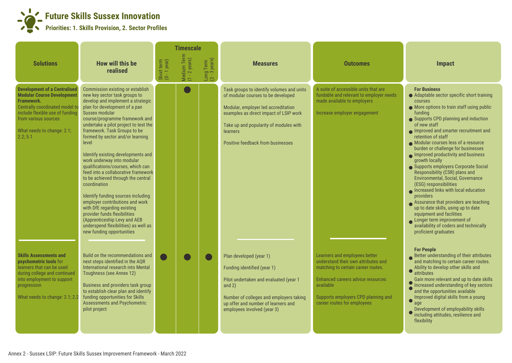

|                                                                                                                                                                                                                                      |                                                                                                                                                                                                                                                                                                                                                                                                                                                                                                                                                                                                                                                                                                                                                                             |                            | <b>Timescale</b>             |                                      |                                                                                                                                                                                                                                                             |                                                                                                                                                                                                                                    |                                                                                                                                                                                                                                                                                                                                                                                                                                                                                                                                                                                                                                                                                                                                                                                                              |
|--------------------------------------------------------------------------------------------------------------------------------------------------------------------------------------------------------------------------------------|-----------------------------------------------------------------------------------------------------------------------------------------------------------------------------------------------------------------------------------------------------------------------------------------------------------------------------------------------------------------------------------------------------------------------------------------------------------------------------------------------------------------------------------------------------------------------------------------------------------------------------------------------------------------------------------------------------------------------------------------------------------------------------|----------------------------|------------------------------|--------------------------------------|-------------------------------------------------------------------------------------------------------------------------------------------------------------------------------------------------------------------------------------------------------------|------------------------------------------------------------------------------------------------------------------------------------------------------------------------------------------------------------------------------------|--------------------------------------------------------------------------------------------------------------------------------------------------------------------------------------------------------------------------------------------------------------------------------------------------------------------------------------------------------------------------------------------------------------------------------------------------------------------------------------------------------------------------------------------------------------------------------------------------------------------------------------------------------------------------------------------------------------------------------------------------------------------------------------------------------------|
| <b>Solutions</b>                                                                                                                                                                                                                     | How will this be<br>realised                                                                                                                                                                                                                                                                                                                                                                                                                                                                                                                                                                                                                                                                                                                                                | Short term<br>(0 - 1 year) | Medium Term<br>(1 - 2 years) | Long Term<br>$(2 - 3 \text{ years})$ | <b>Measures</b>                                                                                                                                                                                                                                             | <b>Outcomes</b>                                                                                                                                                                                                                    | Impact                                                                                                                                                                                                                                                                                                                                                                                                                                                                                                                                                                                                                                                                                                                                                                                                       |
| <b>Development of a Centralised</b><br><b>Modular Course Development</b><br><b>Framework.</b><br>Centrally coordinated model to<br>include flexible use of funding<br>from various sources<br>What needs to change: 2.1;<br>2.2; 5.1 | Commission existing or establish<br>new key sector task groups to<br>develop and implement a strategic<br>plan for development of a pan<br><b>Sussex modular</b><br>course/programme framework and<br>undertake a pilot project to test the<br>framework. Task Groups to be<br>formed by sector and/or learning<br>level<br>Identify existing developments and<br>work underway into modular<br>qualifications/courses, which can<br>feed into a collaborative framework<br>to be achieved through the central<br>coordination<br>Identify funding sources including<br>employer contributions and work<br>with DfE regarding existing<br>provider funds flexibilities<br>(Apprenticeship Levy and AEB<br>underspend flexibilities) as well as<br>new funding opportunities |                            |                              |                                      | Task groups to identify volumes and units<br>of modular courses to be developed<br>Modular, employer led accreditation<br>examples as direct impact of LSIP work<br>Take up and popularity of modules with<br>learners<br>Positive feedback from businesses | A suite of accessible units that are<br>fundable and relevant to employer needs<br>made available to employers<br>Increase employer engagement                                                                                     | <b>For Business</b><br>Adaptable sector specific short training<br>courses<br>● More options to train staff using public<br>fundina<br>Supports CPD planning and induction<br>of new staff<br>Improved and smarter recruitment and<br>retention of staff<br>Modular courses less of a resource<br>burden or challenge for businesses<br>Improved productivity and business<br>growth locally<br>Supports employers Corporate Social<br>Responsibility (CSR) plans and<br><b>Environmental, Social, Governance</b><br>(ESG) responsibilities<br>Increased links with local education<br>providers<br>Assurance that providers are teaching<br>up to date skills, using up to date<br>equipment and facilities<br>Longer term improvement of<br>availability of coders and technically<br>proficient graduates |
| <b>Skills Assessments and</b><br>psychometric tools for<br>learners that can be used<br>during college and continued<br>into employment to support<br>progression<br>What needs to change: 2.1; 2.2                                  | Build on the recommendations and<br>next steps identified in the AQR<br>International research into Mental<br>Toughness (see Annex 12)<br>Business and providers task group<br>to establish clear plan and identify<br>funding opportunities for Skills<br>Assessments and Psychometric<br>pilot project                                                                                                                                                                                                                                                                                                                                                                                                                                                                    |                            |                              |                                      | Plan developed (year 1)<br>Funding identified (year 1)<br>Pilot undertaken and evaluated (year 1<br>and $2)$<br>Number of colleges and employers taking<br>up offer and number of learners and<br>employees involved (year 3)                               | Learners and employees better<br>understand their own attributes and<br>matching to certain career routes.<br>Enhanced careers advice resources<br>available<br>Supports employers CPD planning and<br>career routes for employees | <b>For People</b><br>Better understanding of their attributes<br>and matching to certain career routes.<br>Ability to develop other skills and<br>attributes<br>Gain more relevant and up to date skills<br>Increased understanding of key sectors<br>and the opportunities available<br>Improved digital skills from a young<br>age<br>Development of employability skills<br>including attitudes, resilience and<br>flexibility                                                                                                                                                                                                                                                                                                                                                                            |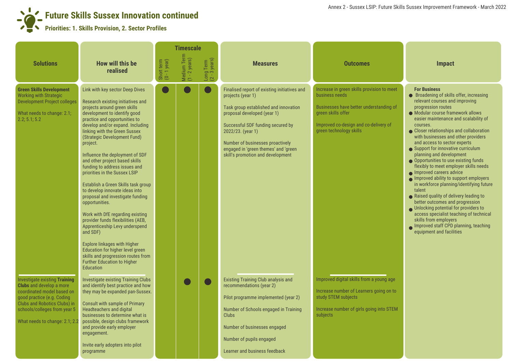## **Future Skills Sussex Innovation continued Priorities: 1. Skills Provision, 2. Sector Profiles**

|                                                                                                                                                                                                                                              |                                                                                                                                                                                                                                                                                                                                                                                                                                                                                                                                                                                                                                                                                                                                                                                                                                                                 |                            | <b>Timescale</b>             |                                      |                                                                                                                                                                                                                                                                                                                      |                                                                                                                                                                                                   |                                                                                                                                                                                                                                                                                                                                                                                                                                                                                                                                                                                                                                                                                                                                                                                                                                                                                   |
|----------------------------------------------------------------------------------------------------------------------------------------------------------------------------------------------------------------------------------------------|-----------------------------------------------------------------------------------------------------------------------------------------------------------------------------------------------------------------------------------------------------------------------------------------------------------------------------------------------------------------------------------------------------------------------------------------------------------------------------------------------------------------------------------------------------------------------------------------------------------------------------------------------------------------------------------------------------------------------------------------------------------------------------------------------------------------------------------------------------------------|----------------------------|------------------------------|--------------------------------------|----------------------------------------------------------------------------------------------------------------------------------------------------------------------------------------------------------------------------------------------------------------------------------------------------------------------|---------------------------------------------------------------------------------------------------------------------------------------------------------------------------------------------------|-----------------------------------------------------------------------------------------------------------------------------------------------------------------------------------------------------------------------------------------------------------------------------------------------------------------------------------------------------------------------------------------------------------------------------------------------------------------------------------------------------------------------------------------------------------------------------------------------------------------------------------------------------------------------------------------------------------------------------------------------------------------------------------------------------------------------------------------------------------------------------------|
| <b>Solutions</b>                                                                                                                                                                                                                             | How will this be<br>realised                                                                                                                                                                                                                                                                                                                                                                                                                                                                                                                                                                                                                                                                                                                                                                                                                                    | Short term<br>(0 - 1 year) | Medium Term<br>(1 - 2 years) | Long Term<br>$(2 - 3 \text{ years})$ | <b>Measures</b>                                                                                                                                                                                                                                                                                                      | <b>Outcomes</b>                                                                                                                                                                                   | <b>Impact</b>                                                                                                                                                                                                                                                                                                                                                                                                                                                                                                                                                                                                                                                                                                                                                                                                                                                                     |
| <b>Green Skills Development</b><br><b>Working with Strategic</b><br><b>Development Project colleges</b><br>What needs to change: 2.1;<br>2.2; 5.1; 5.2                                                                                       | Link with key sector Deep Dives<br>Research existing initiatives and<br>projects around green skills<br>development to identify good<br>practice and opportunities to<br>develop and/or expand. Including<br>linking with the Green Sussex<br>(Strategic Development Fund)<br>project.<br>Influence the deployment of SDF<br>and other project based skills<br>funding to address issues and<br>priorities in the Sussex LSIP<br>Establish a Green Skills task group<br>to develop innovate ideas into<br>proposal and investigate funding<br>opportunities.<br>Work with DfE regarding existing<br>provider funds flexibilities (AEB,<br>Apprenticeship Levy underspend<br>and SDF)<br><b>Explore linkages with Higher</b><br>Education for higher level green<br>skills and progression routes from<br><b>Further Education to Higher</b><br><b>Education</b> |                            |                              |                                      | Finalised report of existing initiatives and<br>projects (year 1)<br>Task group established and innovation<br>proposal developed (year 1)<br>Successful SDF funding secured by<br>2022/23. (year 1)<br>Number of businesses proactively<br>engaged in 'green themes' and 'green<br>skill's promotion and development | Increase in green skills provision to meet<br>business needs<br>Businesses have better understanding of<br>green skills offer<br>Improved co-design and co-delivery of<br>green technology skills | <b>For Business</b><br>● Broadening of skills offer, increasing<br>relevant courses and improving<br>progression routes<br>• Modular course framework allows<br>easier maintenance and scalability of<br>courses.<br>• Closer relationships and collaboration<br>with businesses and other providers<br>and access to sector experts<br>Support for innovative curriculum<br>planning and development<br>● Opportunities to use existing funds<br>flexibly to meet employer skills needs<br>Improved careers advice<br>Improved ability to support employers<br>in workforce planning/identifying future<br>talent<br>Raised quality of delivery leading to<br>better outcomes and progression<br>O Unlocking potential for providers to<br>access specialist teaching of technical<br>skills from employers<br>Improved staff CPD planning, teaching<br>equipment and facilities |
| <b>Investigate existing Training</b><br><b>Clubs</b> and develop a more<br>coordinated model based on<br>good practice (e.g. Coding<br><b>Clubs and Robotics Clubs) in</b><br>schools/colleges from year 5<br>What needs to change: 2.1; 2.2 | <b>Investigate existing Training Clubs</b><br>and identify best practice and how<br>they may be expanded pan-Sussex.<br>Consult with sample of Primary<br><b>Headteachers and digital</b><br>businesses to determine what is<br>possible, design clubs framework<br>and provide early employer<br>engagement.<br>Invite early adopters into pilot<br>programme                                                                                                                                                                                                                                                                                                                                                                                                                                                                                                  |                            |                              |                                      | <b>Existing Training Club analysis and</b><br>recommendations (year 2)<br>Pilot programme implemented (year 2)<br>Number of Schools engaged in Training<br><b>Clubs</b><br>Number of businesses engaged<br>Number of pupils engaged<br>Learner and business feedback                                                 | Improved digital skills from a young age<br>Increase number of Learners going on to<br>study STEM subjects<br>Increase number of girls going into STEM<br>subjects                                |                                                                                                                                                                                                                                                                                                                                                                                                                                                                                                                                                                                                                                                                                                                                                                                                                                                                                   |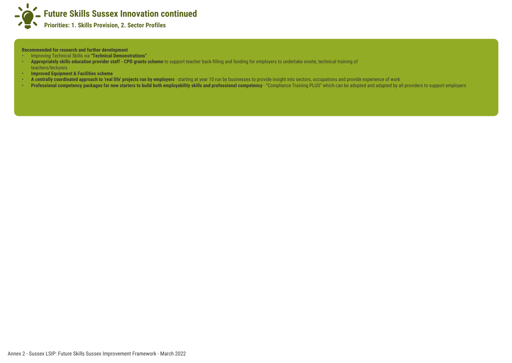

**Recommended for research and further development**

- Improving Technical Skills via **"Technical Demonstrations"**
- **Appropriately skills education provider staff CPD grants scheme** to support teacher back-filling and funding for employers to undertake onsite, technical training of teachers/lecturers
- **Improved Equipment & Facilities scheme**
- A centrally coordinated approach to 'real life' projects run by employers starting at year 10 run by businesses to provide insight into sectors, occupations and provide experience of work
- **Professional competency packages for new starters to build both employability skills and professional competency "Compliance Training PLUS" which can be adopted and adapted by all providers to support employers**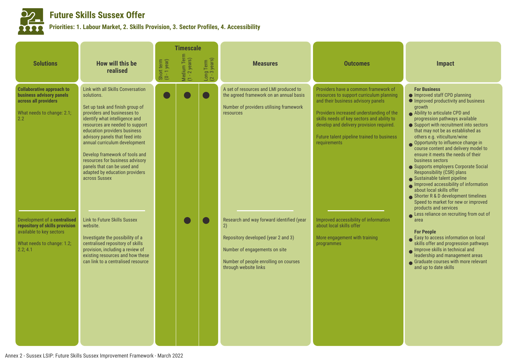

### **Future Skills Sussex Offer**

#### **Priorities: 1. Labour Market, 2. Skills Provision, 3. Sector Profiles, 4. Accessibility**

|                                                                                                                                      |                                                                                                                                                                                                                                                                                                                                                                                                                                                  |                            | <b>Timescale</b>             |                                      |                                                                                                                                                                                           |                                                                                                                                                                                                                                                                                                                            |                                                                                                                                                                                                                                                                                                                                                                                                                                                                                                                                                                                                                                                                                                                                                            |
|--------------------------------------------------------------------------------------------------------------------------------------|--------------------------------------------------------------------------------------------------------------------------------------------------------------------------------------------------------------------------------------------------------------------------------------------------------------------------------------------------------------------------------------------------------------------------------------------------|----------------------------|------------------------------|--------------------------------------|-------------------------------------------------------------------------------------------------------------------------------------------------------------------------------------------|----------------------------------------------------------------------------------------------------------------------------------------------------------------------------------------------------------------------------------------------------------------------------------------------------------------------------|------------------------------------------------------------------------------------------------------------------------------------------------------------------------------------------------------------------------------------------------------------------------------------------------------------------------------------------------------------------------------------------------------------------------------------------------------------------------------------------------------------------------------------------------------------------------------------------------------------------------------------------------------------------------------------------------------------------------------------------------------------|
| <b>Solutions</b>                                                                                                                     | How will this be<br>realised                                                                                                                                                                                                                                                                                                                                                                                                                     | Short term<br>(0 - 1 year) | Medium Term<br>(1 - 2 years) | Long Term<br>$(2 - 3 \text{ years})$ | <b>Measures</b>                                                                                                                                                                           | <b>Outcomes</b>                                                                                                                                                                                                                                                                                                            | Impact                                                                                                                                                                                                                                                                                                                                                                                                                                                                                                                                                                                                                                                                                                                                                     |
| <b>Collaborative approach to</b><br>business advisory panels<br>across all providers<br>What needs to change: 2.1;<br>2.2            | Link with all Skills Conversation<br>solutions.<br>Set up task and finish group of<br>providers and businesses to<br>identify what intelligence and<br>resources are needed to support<br>education providers business<br>advisory panels that feed into<br>annual curriculum development<br>Develop framework of tools and<br>resources for business advisory<br>panels that can be used and<br>adapted by education providers<br>across Sussex |                            |                              |                                      | A set of resources and LMI produced to<br>the agreed framework on an annual basis<br>Number of providers utilising framework<br>resources                                                 | Providers have a common framework of<br>resources to support curriculum planning<br>and their business advisory panels<br>Providers increased understanding of the<br>skills needs of key sectors and ability to<br>develop and delivery provision required.<br>Future talent pipeline trained to business<br>requirements | <b>For Business</b><br>● Improved staff CPD planning<br>Improved productivity and business<br>growth<br>Ability to articulate CPD and<br>progression pathways available<br>• Support with recruitment into sectors<br>that may not be as established as<br>others e.g. viticulture/wine<br>Opportunity to influence change in<br>course content and delivery model to<br>ensure it meets the needs of their<br>business sectors<br>Supports employers Corporate Social<br>Responsibility (CSR) plans<br>Sustainable talent pipeline<br>Improved accessibility of information<br>about local skills offer<br>Shorter R & D development timelines<br>Speed to market for new or improved<br>products and services<br>Less reliance on recruiting from out of |
| Development of a centralised<br>repository of skills provision<br>available to key sectors<br>What needs to change: 1.2;<br>2.2; 4.1 | <b>Link to Future Skills Sussex</b><br>website.<br>Investigate the possibility of a<br>centralised repository of skills<br>provision, including a review of<br>existing resources and how these<br>can link to a centralised resource                                                                                                                                                                                                            |                            |                              |                                      | Research and way forward identified (year<br>2)<br>Repository developed (year 2 and 3)<br>Number of engagements on site<br>Number of people enrolling on courses<br>through website links | Improved accessibility of information<br>about local skills offer<br>More engagement with training<br>programmes                                                                                                                                                                                                           | area<br><b>For People</b><br>Easy to access information on local<br>skills offer and progression pathways<br>Improve skills in technical and<br>leadership and management areas<br>Graduate courses with more relevant<br>and up to date skills                                                                                                                                                                                                                                                                                                                                                                                                                                                                                                            |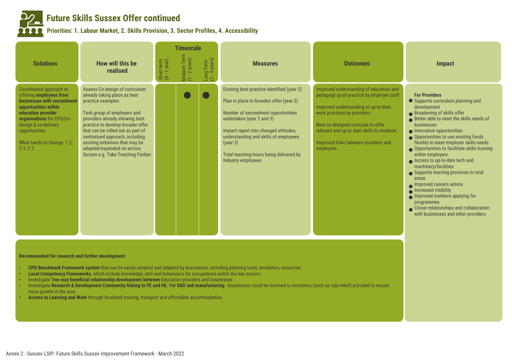

# **Future Skills Sussex Offer continued**

**Priorities: 1. Labour Market, 2. Skills Provision, 3. Sector Profiles, 4. Accessibility** 

|                                                                                                                                                                                                                                                |                                                                                                                                                                                                                                                                                                                                                                                                                                                                                                                                                                                                                                                        |                            | <b>Timescale</b>             |                                      |                                                                                                                                                                                                                                                                                                                         |                                                                                                                                                                                                                                                                                                     |                                                                                                                                                                                                                                                                                                                                                                                                                                                                                                                                                                                                                                                                  |  |  |
|------------------------------------------------------------------------------------------------------------------------------------------------------------------------------------------------------------------------------------------------|--------------------------------------------------------------------------------------------------------------------------------------------------------------------------------------------------------------------------------------------------------------------------------------------------------------------------------------------------------------------------------------------------------------------------------------------------------------------------------------------------------------------------------------------------------------------------------------------------------------------------------------------------------|----------------------------|------------------------------|--------------------------------------|-------------------------------------------------------------------------------------------------------------------------------------------------------------------------------------------------------------------------------------------------------------------------------------------------------------------------|-----------------------------------------------------------------------------------------------------------------------------------------------------------------------------------------------------------------------------------------------------------------------------------------------------|------------------------------------------------------------------------------------------------------------------------------------------------------------------------------------------------------------------------------------------------------------------------------------------------------------------------------------------------------------------------------------------------------------------------------------------------------------------------------------------------------------------------------------------------------------------------------------------------------------------------------------------------------------------|--|--|
| <b>Solutions</b>                                                                                                                                                                                                                               | How will this be<br>realised                                                                                                                                                                                                                                                                                                                                                                                                                                                                                                                                                                                                                           | Short term<br>(0 - 1 year) | Medium Term<br>(1 - 2 years) | Long Term<br>$(2 - 3 \text{ years})$ | <b>Measures</b>                                                                                                                                                                                                                                                                                                         | <b>Outcomes</b>                                                                                                                                                                                                                                                                                     | <b>Impact</b>                                                                                                                                                                                                                                                                                                                                                                                                                                                                                                                                                                                                                                                    |  |  |
| Coordinated approach to<br>offering employees from<br>businesses with secondment<br>opportunities within<br>education provider<br>organisations for CPD/co-<br>design & co-delivery<br>opportunities<br>What needs to change: 1.2;<br>2.1; 2.2 | Assess Co-design of curriculum<br>already taking place as best<br>practice examples<br>Task group of employers and<br>providers already showing best<br>practice to develop broader offer<br>that can be rolled out as part of<br>centralised approach, including<br>existing initiatives that may be<br>adapted/expanded on across<br>Sussex e.g. Take Teaching Further                                                                                                                                                                                                                                                                               |                            |                              |                                      | Existing best practice identified (year 2)<br>Plan in place to broaden offer (year 2)<br>Number of secondment opportunities<br>undertaken (year 2 and 3)<br>Impact report into changed attitudes,<br>understanding and skills of employees<br>(year 3)<br>Total teaching hours being delivered by<br>Industry employees | Improved understanding of education and<br>pedagogy good practice by employer staff<br>Improved understanding of up-to-date<br>work practices by providers<br>New co-designed curricula to offer<br>relevant and up to date skills to students<br>Improved links between providers and<br>employers | <b>For Providers</b><br>Supports curriculum planning and<br>development<br>● Broadening of skills offer<br>Better able to meet the skills needs of<br>businesses<br>• Innovation opportunities<br>● Opportunities to use existing funds<br>flexibly to meet employer skills needs<br>● Opportunities to facilitate skills training<br>within employers.<br>● Access to up-to-date tech and<br>machinery/facilities<br>Supports learning provision in rural<br>areas<br>Improved careers advice<br>Increased visibility<br>$\bullet$ Improved numbers applying for<br>programmes<br>Closer relationships and collaboration<br>with businesses and other providers |  |  |
| Recommended for research and further development                                                                                                                                                                                               |                                                                                                                                                                                                                                                                                                                                                                                                                                                                                                                                                                                                                                                        |                            |                              |                                      |                                                                                                                                                                                                                                                                                                                         |                                                                                                                                                                                                                                                                                                     |                                                                                                                                                                                                                                                                                                                                                                                                                                                                                                                                                                                                                                                                  |  |  |
| more growth in the area                                                                                                                                                                                                                        | CPD Benchmark Framework system that can be easily adopted and adapted by businesses, including planning tools, templates, resources<br>Local Competency Frameworks, which include knowledge, skill and behaviours for occupations within the key sectors<br>Investigate Two way beneficial relationship development between Education providers and businesses<br>Investigate Research & Development Community linking to FE and HE. For R&D and manufacturing - businesses could be involved is incentives (such as rate relief) provided to ensure<br>Access to Learning and Work through localised training, transport and affordable accommodation |                            |                              |                                      |                                                                                                                                                                                                                                                                                                                         |                                                                                                                                                                                                                                                                                                     |                                                                                                                                                                                                                                                                                                                                                                                                                                                                                                                                                                                                                                                                  |  |  |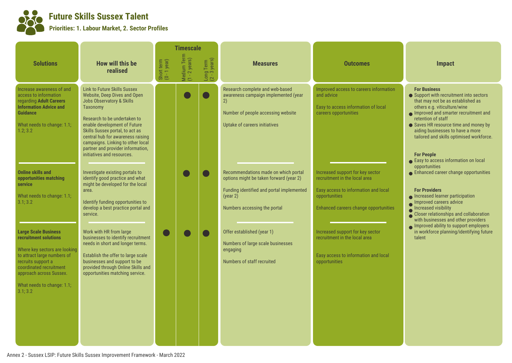

#### **Future Skills Sussex Talent Priorities: 1. Labour Market, 2. Sector Profiles**

|                                                                                                                                                                                                                                                                                               |                                                                                                                                                                                                                                                                                                                                                                                                                                                                                                                                                                                   |                            | <b>Timescale</b>             |                                      |                                                                                                                                                                                                                                                                                                                                  |                                                                                                                                                                                                                                                                                             |                                                                                                                                                                                                                                                                                                                                                                                                                                                                                                                                                                                                             |
|-----------------------------------------------------------------------------------------------------------------------------------------------------------------------------------------------------------------------------------------------------------------------------------------------|-----------------------------------------------------------------------------------------------------------------------------------------------------------------------------------------------------------------------------------------------------------------------------------------------------------------------------------------------------------------------------------------------------------------------------------------------------------------------------------------------------------------------------------------------------------------------------------|----------------------------|------------------------------|--------------------------------------|----------------------------------------------------------------------------------------------------------------------------------------------------------------------------------------------------------------------------------------------------------------------------------------------------------------------------------|---------------------------------------------------------------------------------------------------------------------------------------------------------------------------------------------------------------------------------------------------------------------------------------------|-------------------------------------------------------------------------------------------------------------------------------------------------------------------------------------------------------------------------------------------------------------------------------------------------------------------------------------------------------------------------------------------------------------------------------------------------------------------------------------------------------------------------------------------------------------------------------------------------------------|
| <b>Solutions</b>                                                                                                                                                                                                                                                                              | <b>How will this be</b><br>realised                                                                                                                                                                                                                                                                                                                                                                                                                                                                                                                                               | Short term<br>(0 - 1 year) | Medium Term<br>(1 - 2 years) | Long Term<br>$(2 - 3 \text{ years})$ | <b>Measures</b>                                                                                                                                                                                                                                                                                                                  | <b>Outcomes</b>                                                                                                                                                                                                                                                                             | Impact                                                                                                                                                                                                                                                                                                                                                                                                                                                                                                                                                                                                      |
| Increase awareness of and<br>access to information<br>regarding Adult Careers<br><b>Information Advice and</b><br><b>Guidance</b><br>What needs to change: 1.1;<br>1.2; 3.2<br><b>Online skills and</b><br>opportunities matching<br><b>service</b><br>What needs to change: 1.1;<br>3.1; 3.2 | <b>Link to Future Skills Sussex</b><br>Website, Deep Dives and Open<br><b>Jobs Observatory &amp; Skills</b><br>Taxonomy<br>Research to be undertaken to<br>enable development of Future<br>Skills Sussex portal, to act as<br>central hub for awareness raising<br>campaigns. Linking to other local<br>partner and provider information,<br>initiatives and resources.<br>Investigate existing portals to<br>identify good practice and what<br>might be developed for the local<br>area.<br>Identify funding opportunities to<br>develop a best practice portal and<br>service. |                            |                              |                                      | Research complete and web-based<br>awareness campaign implemented (year<br>2)<br>Number of people accessing website<br>Uptake of careers initiatives<br>Recommendations made on which portal<br>options might be taken forward (year 2)<br>Funding identified and portal implemented<br>(year 2)<br>Numbers accessing the portal | Improved access to careers information<br>and advice<br>Easy to access information of local<br>careers opportunities<br>Increased support for key sector<br>recruitment in the local area<br>Easy access to information and local<br>opportunities<br>Enhanced careers change opportunities | <b>For Business</b><br>• Support with recruitment into sectors<br>that may not be as established as<br>others e.g. viticulture/wine<br>Improved and smarter recruitment and<br>retention of staff<br>• Saves HR resource time and money by<br>aiding businesses to have a more<br>tailored and skills optimised workforce.<br><b>For People</b><br>Easy to access information on local<br>opportunities<br>• Enhanced career change opportunities<br><b>For Providers</b><br>• Increased learner participation<br>Improved careers advice<br>Increased visibility<br>Closer relationships and collaboration |
| <b>Large Scale Business</b><br>recruitment solutions<br>Where key sectors are looking<br>to attract large numbers of<br>recruits support a<br>coordinated recruitment<br>approach across Sussex.<br>What needs to change: 1.1;<br>3.1; 3.2                                                    | Work with HR from large<br>businesses to identify recruitment<br>needs in short and longer terms.<br>Establish the offer to large scale<br>businesses and support to be<br>provided through Online Skills and<br>opportunities matching service.                                                                                                                                                                                                                                                                                                                                  |                            |                              |                                      | Offer established (year 1)<br>Numbers of large scale businesses<br>engaging<br>Numbers of staff recruited                                                                                                                                                                                                                        | Increased support for key sector<br>recruitment in the local area<br>Easy access to information and local<br>opportunities                                                                                                                                                                  | with businesses and other providers<br>Improved ability to support employers<br>in workforce planning/identifying future<br>talent                                                                                                                                                                                                                                                                                                                                                                                                                                                                          |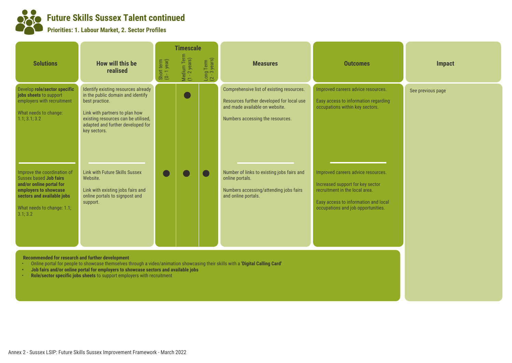**Future Skills Sussex Talent continued**

**Priorities: 1. Labour Market, 2. Sector Profiles**

|                                                                                                                                                                                           |                                                                                                                                                                                                                          |                            | <b>Timescale</b>             |                                      |                                                                                                                                                              |                                                                                                                                                                                        |                   |
|-------------------------------------------------------------------------------------------------------------------------------------------------------------------------------------------|--------------------------------------------------------------------------------------------------------------------------------------------------------------------------------------------------------------------------|----------------------------|------------------------------|--------------------------------------|--------------------------------------------------------------------------------------------------------------------------------------------------------------|----------------------------------------------------------------------------------------------------------------------------------------------------------------------------------------|-------------------|
| <b>Solutions</b>                                                                                                                                                                          | How will this be<br>realised                                                                                                                                                                                             | Short term<br>(0 - 1 year) | Medium Term<br>(1 - 2 years) | Long Term<br>$(2 - 3 \text{ years})$ | <b>Measures</b>                                                                                                                                              | <b>Outcomes</b>                                                                                                                                                                        | <b>Impact</b>     |
| Develop role/sector specific<br>jobs sheets to support<br>employers with recruitment<br>What needs to change:<br>1.1; 3.1; 3.2                                                            | Identify existing resources already<br>in the public domain and identify<br>best practice.<br>Link with partners to plan how<br>existing resources can be utilised,<br>adapted and further developed for<br>key sectors. |                            |                              |                                      | Comprehensive list of existing resources.<br>Resources further developed for local use<br>and made available on website.<br>Numbers accessing the resources. | Improved careers advice resources.<br>Easy access to information regarding<br>occupations within key sectors.                                                                          | See previous page |
| Improve the coordination of<br>Sussex based <b>Job fairs</b><br>and/or online portal for<br>employers to showcase<br>sectors and available jobs<br>What needs to change: 1.1;<br>3.1; 3.2 | <b>Link with Future Skills Sussex</b><br>Website.<br>Link with existing jobs fairs and<br>online portals to signpost and<br>support.                                                                                     |                            |                              |                                      | Number of links to existing jobs fairs and<br>online portals.<br>Numbers accessing/attending jobs fairs<br>and online portals.                               | Improved careers advice resources.<br>Increased support for key sector<br>recruitment in the local area.<br>Easy access to information and local<br>occupations and job opportunities. |                   |

 **Recommended for research and further development**

- Online portal for people to showcase themselves through a video/animation showcasing their skills with a **'Digital Calling Card'**
- **Job fairs and/or online portal for employers to showcase sectors and available jobs**
- **Role/sector specific jobs sheets** to support employers with recruitment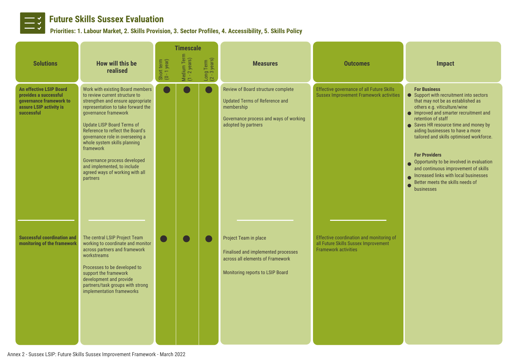

# **Future Skills Sussex Evaluation**<br>Priorities: 1. Labour Market 2. Skills Provision

### **Priorities: 1. Labour Market, 2. Skills Provision, 3. Sector Profiles, 4. Accessibility, 5. Skills Policy**

|                                                                                                                             |                                                                                                                                                                                                                                                                                                                                                                                                                                              |                            | <b>Timescale</b>             |                                      |                                                                                                                                                     |                                                                                                                 |                                                                                                                                                                                                                                                                                                                                                                                                                                                                                                                                          |
|-----------------------------------------------------------------------------------------------------------------------------|----------------------------------------------------------------------------------------------------------------------------------------------------------------------------------------------------------------------------------------------------------------------------------------------------------------------------------------------------------------------------------------------------------------------------------------------|----------------------------|------------------------------|--------------------------------------|-----------------------------------------------------------------------------------------------------------------------------------------------------|-----------------------------------------------------------------------------------------------------------------|------------------------------------------------------------------------------------------------------------------------------------------------------------------------------------------------------------------------------------------------------------------------------------------------------------------------------------------------------------------------------------------------------------------------------------------------------------------------------------------------------------------------------------------|
| <b>Solutions</b>                                                                                                            | <b>How will this be</b><br>realised                                                                                                                                                                                                                                                                                                                                                                                                          | Short term<br>(0 - 1 year) | Medium Term<br>(1 - 2 years) | Long Term<br>$(2 - 3 \text{ years})$ | <b>Measures</b>                                                                                                                                     | <b>Outcomes</b>                                                                                                 | <b>Impact</b>                                                                                                                                                                                                                                                                                                                                                                                                                                                                                                                            |
| <b>An effective LSIP Board</b><br>provides a successful<br>governance framework to<br>assure LSIP activity is<br>successful | Work with existing Board members<br>to review current structure to<br>strengthen and ensure appropriate<br>representation to take forward the<br>governance framework<br><b>Update LISP Board Terms of</b><br>Reference to reflect the Board's<br>governance role in overseeing a<br>whole system skills planning<br>framework<br>Governance process developed<br>and implemented, to include<br>agreed ways of working with all<br>partners |                            |                              |                                      | Review of Board structure complete<br>Updated Terms of Reference and<br>membership<br>Governance process and ways of working<br>adopted by partners | Effective governance of all Future Skills<br><b>Sussex Improvement Framework activities</b>                     | <b>For Business</b><br>• Support with recruitment into sectors<br>that may not be as established as<br>others e.g. viticulture/wine<br>• Improved and smarter recruitment and<br>retention of staff<br>Saves HR resource time and money by<br>aiding businesses to have a more<br>tailored and skills optimised workforce.<br><b>For Providers</b><br>Opportunity to be involved in evaluation<br>and continuous improvement of skills<br>Increased links with local businesses<br>Better meets the skills needs of<br><b>businesses</b> |
| <b>Successful coordination and</b><br>monitoring of the framework                                                           | The central LSIP Project Team<br>working to coordinate and monitor<br>across partners and framework<br>workstreams<br>Processes to be developed to<br>support the framework<br>development and provide<br>partners/task groups with strong<br>implementation frameworks                                                                                                                                                                      |                            |                              |                                      | Project Team in place<br>Finalised and implemented processes<br>across all elements of Framework<br>Monitoring reports to LSIP Board                | Effective coordination and monitoring of<br>all Future Skills Sussex Improvement<br><b>Framework activities</b> |                                                                                                                                                                                                                                                                                                                                                                                                                                                                                                                                          |

Annex 2 - Sussex LSIP: Future Skills Sussex Improvement Framework - March 2022